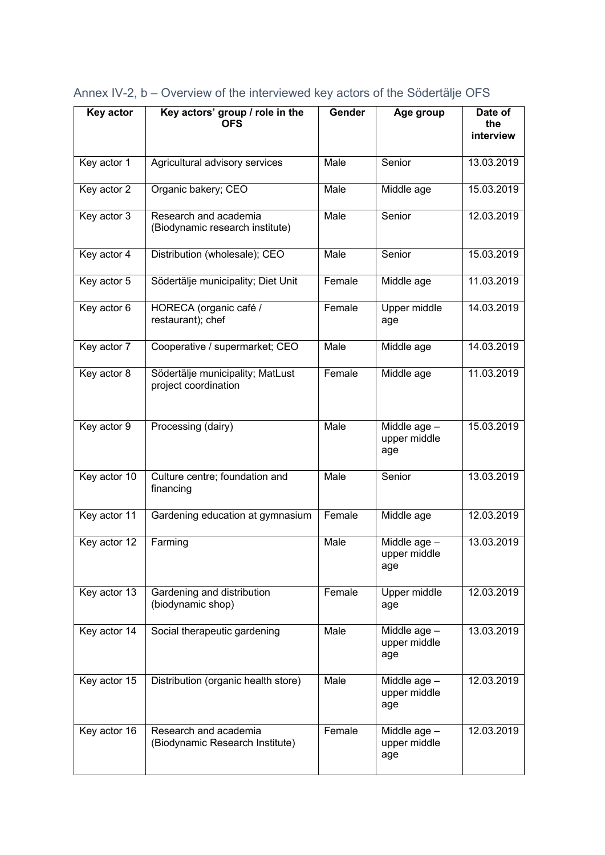| Key actor     | Key actors' group / role in the                          | Gender | Age group                           | Date of          |
|---------------|----------------------------------------------------------|--------|-------------------------------------|------------------|
|               | <b>OFS</b>                                               |        |                                     | the<br>interview |
| Key actor 1   | Agricultural advisory services                           | Male   | Senior                              | 13.03.2019       |
| Key actor 2   | Organic bakery; CEO                                      | Male   | Middle age                          | 15.03.2019       |
| Key actor 3   | Research and academia<br>(Biodynamic research institute) | Male   | Senior                              | 12.03.2019       |
| Key actor 4   | Distribution (wholesale); CEO                            | Male   | Senior                              | 15.03.2019       |
| Key actor 5   | Södertälje municipality; Diet Unit                       | Female | Middle age                          | 11.03.2019       |
| Key actor $6$ | HORECA (organic café /<br>restaurant); chef              | Female | Upper middle<br>age                 | 14.03.2019       |
| Key actor 7   | Cooperative / supermarket; CEO                           | Male   | Middle age                          | 14.03.2019       |
| Key actor 8   | Södertälje municipality; MatLust<br>project coordination | Female | Middle age                          | 11.03.2019       |
| Key actor 9   | Processing (dairy)                                       | Male   | Middle age -<br>upper middle<br>age | 15.03.2019       |
| Key actor 10  | Culture centre; foundation and<br>financing              | Male   | Senior                              | 13.03.2019       |
| Key actor 11  | Gardening education at gymnasium                         | Female | Middle age                          | 12.03.2019       |
| Key actor 12  | $\sqrt{\mathsf{Farming}}$                                | Male   | Middle age -<br>upper middle<br>age | 13.03.2019       |
| Key actor 13  | Gardening and distribution<br>(biodynamic shop)          | Female | Upper middle<br>age                 | 12.03.2019       |
| Key actor 14  | Social therapeutic gardening                             | Male   | Middle age -<br>upper middle<br>age | 13.03.2019       |
| Key actor 15  | Distribution (organic health store)                      | Male   | Middle age -<br>upper middle<br>age | 12.03.2019       |
| Key actor 16  | Research and academia<br>(Biodynamic Research Institute) | Female | Middle age -<br>upper middle<br>age | 12.03.2019       |